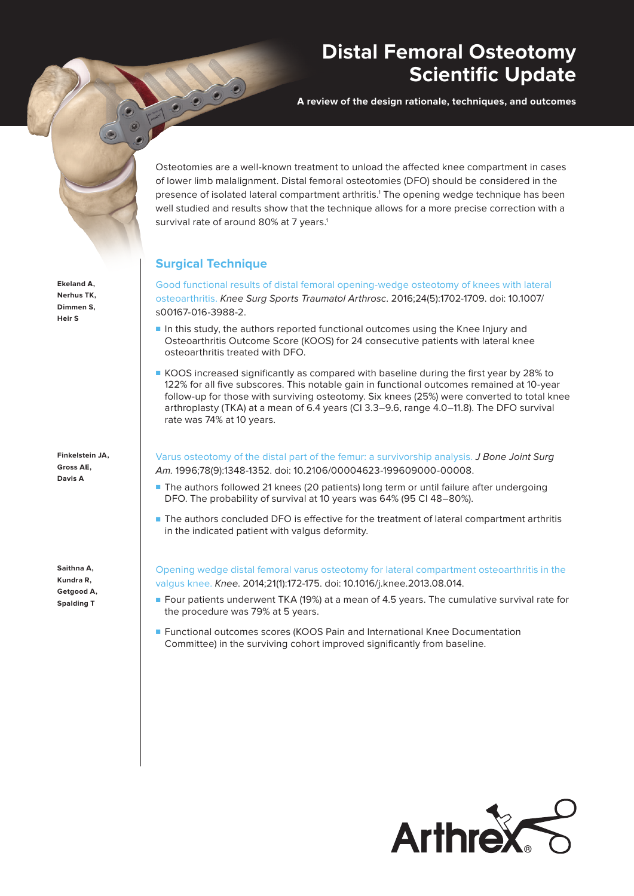## **Distal Femoral Osteotomy Scientific Update**

**A review of the design rationale, techniques, and outcomes**

**Ekeland A, Nerhus TK, Dimmen S, Heir S**

**Finkelstein JA, Gross AE, Davis A**

**Saithna A, Kundra R, Getgood A, Spalding T**

Osteotomies are a well-known treatment to unload the affected knee compartment in cases of lower limb malalignment. Distal femoral osteotomies (DFO) should be considered in the presence of isolated lateral compartment arthritis.<sup>1</sup> The opening wedge technique has been well studied and results show that the technique allows for a more precise correction with a survival rate of around 80% at 7 years.<sup>1</sup>

## **Surgical Technique**

Good functional results of distal femoral opening-wedge osteotomy of knees with lateral osteoarthritis. Knee Surg Sports Traumatol Arthrosc. 2016;24(5):1702-1709. doi: 10.1007/ s00167-016-3988-2.

- In this study, the authors reported functional outcomes using the Knee Injury and Osteoarthritis Outcome Score (KOOS) for 24 consecutive patients with lateral knee osteoarthritis treated with DFO.
- KOOS increased significantly as compared with baseline during the first year by 28% to 122% for all five subscores. This notable gain in functional outcomes remained at 10-year follow-up for those with surviving osteotomy. Six knees (25%) were converted to total knee arthroplasty (TKA) at a mean of 6.4 years (CI 3.3–9.6, range 4.0–11.8). The DFO survival rate was 74% at 10 years.

Varus osteotomy of the distal part of the femur: a survivorship analysis. J Bone Joint Surg Am. 1996;78(9):1348-1352. doi: 10.2106/00004623-199609000-00008.

- The authors followed 21 knees (20 patients) long term or until failure after undergoing DFO. The probability of survival at 10 years was 64% (95 CI 48–80%).
- The authors concluded DFO is effective for the treatment of lateral compartment arthritis in the indicated patient with valgus deformity.

Opening wedge distal femoral varus osteotomy for lateral compartment osteoarthritis in the valgus knee. Knee. 2014;21(1):172-175. doi: 10.1016/j.knee.2013.08.014.

- Four patients underwent TKA (19%) at a mean of 4.5 years. The cumulative survival rate for the procedure was 79% at 5 years.
- Functional outcomes scores (KOOS Pain and International Knee Documentation Committee) in the surviving cohort improved significantly from baseline.